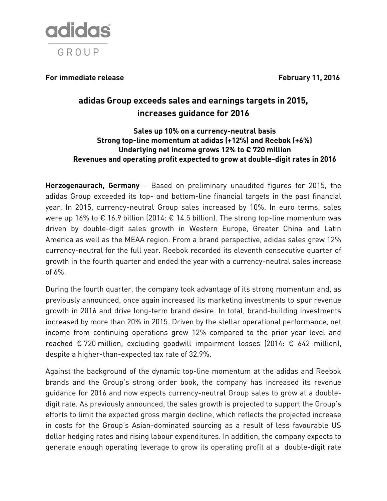

For immediate release **For immediate release** February 11, 2016

# **adidas Group exceeds sales and earnings targets in 2015, increases guidance for 2016**

**Sales up 10% on a currency-neutral basis Strong top-line momentum at adidas (+12%) and Reebok (+6%) Underlying net income grows 12% to € 720 million Revenues and operating profit expected to grow at double-digit rates in 2016**

**Herzogenaurach, Germany** – Based on preliminary unaudited figures for 2015, the adidas Group exceeded its top- and bottom-line financial targets in the past financial year. In 2015, currency-neutral Group sales increased by 10%. In euro terms, sales were up 16% to  $\epsilon$  16.9 billion (2014:  $\epsilon$  14.5 billion). The strong top-line momentum was driven by double-digit sales growth in Western Europe, Greater China and Latin America as well as the MEAA region. From a brand perspective, adidas sales grew 12% currency-neutral for the full year. Reebok recorded its eleventh consecutive quarter of growth in the fourth quarter and ended the year with a currency-neutral sales increase of 6%.

During the fourth quarter, the company took advantage of its strong momentum and, as previously announced, once again increased its marketing investments to spur revenue growth in 2016 and drive long-term brand desire. In total, brand-building investments increased by more than 20% in 2015. Driven by the stellar operational performance, net income from continuing operations grew 12% compared to the prior year level and reached  $\epsilon$  720 million, excluding goodwill impairment losses (2014:  $\epsilon$  642 million), despite a higher-than-expected tax rate of 32.9%.

Against the background of the dynamic top-line momentum at the adidas and Reebok brands and the Group's strong order book, the company has increased its revenue guidance for 2016 and now expects currency-neutral Group sales to grow at a doubledigit rate. As previously announced, the sales growth is projected to support the Group's efforts to limit the expected gross margin decline, which reflects the projected increase in costs for the Group's Asian-dominated sourcing as a result of less favourable US dollar hedging rates and rising labour expenditures. In addition, the company expects to generate enough operating leverage to grow its operating profit at a double-digit rate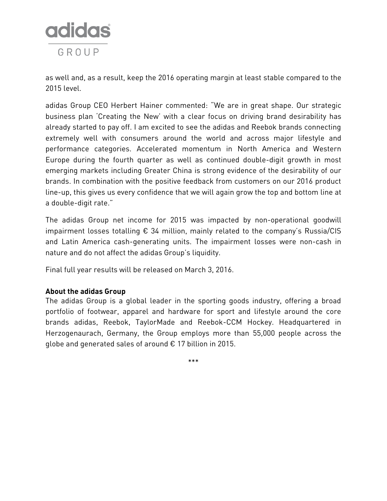

as well and, as a result, keep the 2016 operating margin at least stable compared to the 2015 level.

adidas Group CEO Herbert Hainer commented: "We are in great shape. Our strategic business plan 'Creating the New' with a clear focus on driving brand desirability has already started to pay off. I am excited to see the adidas and Reebok brands connecting extremely well with consumers around the world and across major lifestyle and performance categories. Accelerated momentum in North America and Western Europe during the fourth quarter as well as continued double-digit growth in most emerging markets including Greater China is strong evidence of the desirability of our brands. In combination with the positive feedback from customers on our 2016 product line-up, this gives us every confidence that we will again grow the top and bottom line at a double-digit rate."

The adidas Group net income for 2015 was impacted by non-operational goodwill impairment losses totalling  $\epsilon$  34 million, mainly related to the company's Russia/CIS and Latin America cash-generating units. The impairment losses were non-cash in nature and do not affect the adidas Group's liquidity.

Final full year results will be released on March 3, 2016.

## **About the adidas Group**

The adidas Group is a global leader in the sporting goods industry, offering a broad portfolio of footwear, apparel and hardware for sport and lifestyle around the core brands adidas, Reebok, TaylorMade and Reebok-CCM Hockey. Headquartered in Herzogenaurach, Germany, the Group employs more than 55,000 people across the globe and generated sales of around € 17 billion in 2015.

\*\*\*